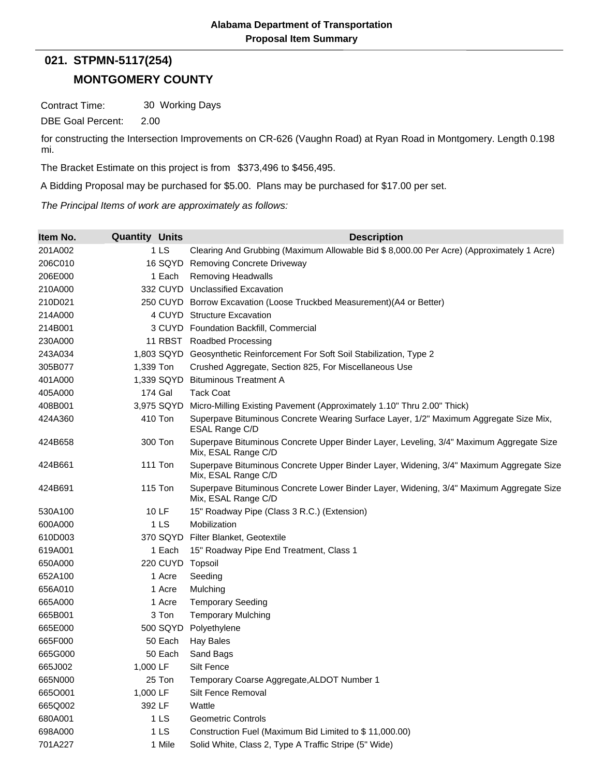## **MONTGOMERY COUNTY 021. STPMN-5117(254)**

Contract Time: 30 Working Days

DBE Goal Percent: 2.00

for constructing the Intersection Improvements on CR-626 (Vaughn Road) at Ryan Road in Montgomery. Length 0.198 mi.

The Bracket Estimate on this project is from \$373,496 to \$456,495.

A Bidding Proposal may be purchased for \$5.00. Plans may be purchased for \$17.00 per set.

*The Principal Items of work are approximately as follows:*

| Item No. | <b>Quantity Units</b> | <b>Description</b>                                                                                             |
|----------|-----------------------|----------------------------------------------------------------------------------------------------------------|
| 201A002  | 1 <sub>LS</sub>       | Clearing And Grubbing (Maximum Allowable Bid \$ 8,000.00 Per Acre) (Approximately 1 Acre)                      |
| 206C010  | 16 SQYD               | <b>Removing Concrete Driveway</b>                                                                              |
| 206E000  | 1 Each                | <b>Removing Headwalls</b>                                                                                      |
| 210A000  |                       | 332 CUYD Unclassified Excavation                                                                               |
| 210D021  |                       | 250 CUYD Borrow Excavation (Loose Truckbed Measurement) (A4 or Better)                                         |
| 214A000  |                       | 4 CUYD Structure Excavation                                                                                    |
| 214B001  |                       | 3 CUYD Foundation Backfill, Commercial                                                                         |
| 230A000  |                       | 11 RBST Roadbed Processing                                                                                     |
| 243A034  |                       | 1,803 SQYD Geosynthetic Reinforcement For Soft Soil Stabilization, Type 2                                      |
| 305B077  | 1,339 Ton             | Crushed Aggregate, Section 825, For Miscellaneous Use                                                          |
| 401A000  | 1,339 SQYD            | <b>Bituminous Treatment A</b>                                                                                  |
| 405A000  | 174 Gal               | <b>Tack Coat</b>                                                                                               |
| 408B001  | 3,975 SQYD            | Micro-Milling Existing Pavement (Approximately 1.10" Thru 2.00" Thick)                                         |
| 424A360  | 410 Ton               | Superpave Bituminous Concrete Wearing Surface Layer, 1/2" Maximum Aggregate Size Mix,<br>ESAL Range C/D        |
| 424B658  | 300 Ton               | Superpave Bituminous Concrete Upper Binder Layer, Leveling, 3/4" Maximum Aggregate Size<br>Mix, ESAL Range C/D |
| 424B661  | <b>111 Ton</b>        | Superpave Bituminous Concrete Upper Binder Layer, Widening, 3/4" Maximum Aggregate Size<br>Mix, ESAL Range C/D |
| 424B691  | 115 Ton               | Superpave Bituminous Concrete Lower Binder Layer, Widening, 3/4" Maximum Aggregate Size<br>Mix, ESAL Range C/D |
| 530A100  | 10 LF                 | 15" Roadway Pipe (Class 3 R.C.) (Extension)                                                                    |
| 600A000  | 1LS                   | Mobilization                                                                                                   |
| 610D003  |                       | 370 SQYD Filter Blanket, Geotextile                                                                            |
| 619A001  | 1 Each                | 15" Roadway Pipe End Treatment, Class 1                                                                        |
| 650A000  | 220 CUYD              | Topsoil                                                                                                        |
| 652A100  | 1 Acre                | Seeding                                                                                                        |
| 656A010  | 1 Acre                | Mulching                                                                                                       |
| 665A000  | 1 Acre                | <b>Temporary Seeding</b>                                                                                       |
| 665B001  | 3 Ton                 | <b>Temporary Mulching</b>                                                                                      |
| 665E000  | 500 SQYD              | Polyethylene                                                                                                   |
| 665F000  | 50 Each               | <b>Hay Bales</b>                                                                                               |
| 665G000  | 50 Each               | Sand Bags                                                                                                      |
| 665J002  | 1,000 LF              | Silt Fence                                                                                                     |
| 665N000  | 25 Ton                | Temporary Coarse Aggregate, ALDOT Number 1                                                                     |
| 665O001  | 1,000 LF              | Silt Fence Removal                                                                                             |
| 665Q002  | 392 LF                | Wattle                                                                                                         |
| 680A001  | 1 LS                  | <b>Geometric Controls</b>                                                                                      |
| 698A000  | 1 LS                  | Construction Fuel (Maximum Bid Limited to \$11,000.00)                                                         |
| 701A227  | 1 Mile                | Solid White, Class 2, Type A Traffic Stripe (5" Wide)                                                          |